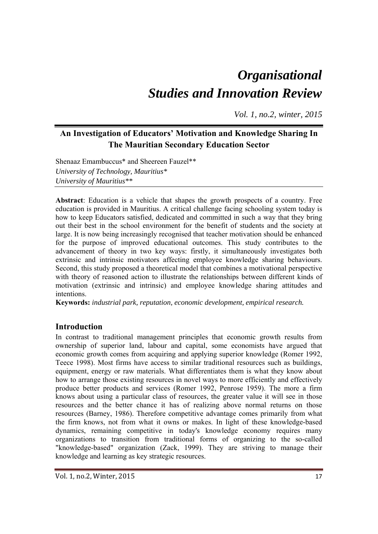# *Organisational Studies and Innovation Review*

*Vol. 1, no.2, winter, 2015*

# **An Investigation of Educators' Motivation and Knowledge Sharing In The Mauritian Secondary Education Sector**

Shenaaz Emambuccus\* and Sheereen Fauzel\*\* *University of Technology, Mauritius\* University of Mauritius\*\** 

**Abstract**: Education is a vehicle that shapes the growth prospects of a country. Free education is provided in Mauritius. A critical challenge facing schooling system today is how to keep Educators satisfied, dedicated and committed in such a way that they bring out their best in the school environment for the benefit of students and the society at large. It is now being increasingly recognised that teacher motivation should be enhanced for the purpose of improved educational outcomes. This study contributes to the advancement of theory in two key ways: firstly, it simultaneously investigates both extrinsic and intrinsic motivators affecting employee knowledge sharing behaviours. Second, this study proposed a theoretical model that combines a motivational perspective with theory of reasoned action to illustrate the relationships between different kinds of motivation (extrinsic and intrinsic) and employee knowledge sharing attitudes and intentions.

**Keywords:** *industrial park, reputation, economic development, empirical research.* 

# **Introduction**

In contrast to traditional management principles that economic growth results from ownership of superior land, labour and capital, some economists have argued that economic growth comes from acquiring and applying superior knowledge (Romer 1992, Teece 1998). Most firms have access to similar traditional resources such as buildings, equipment, energy or raw materials. What differentiates them is what they know about how to arrange those existing resources in novel ways to more efficiently and effectively produce better products and services (Romer 1992, Penrose 1959). The more a firm knows about using a particular class of resources, the greater value it will see in those resources and the better chance it has of realizing above normal returns on those resources (Barney, 1986). Therefore competitive advantage comes primarily from what the firm knows, not from what it owns or makes. In light of these knowledge-based dynamics, remaining competitive in today's knowledge economy requires many organizations to transition from traditional forms of organizing to the so-called "knowledge-based" organization (Zack, 1999). They are striving to manage their knowledge and learning as key strategic resources.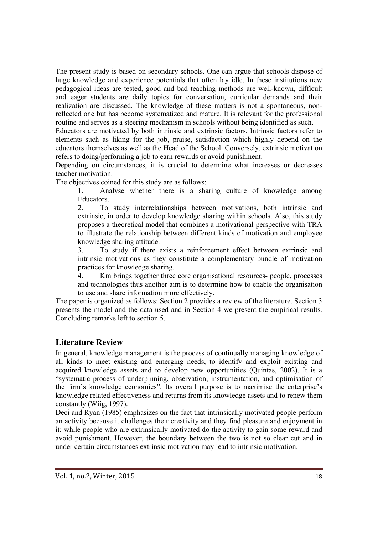The present study is based on secondary schools. One can argue that schools dispose of huge knowledge and experience potentials that often lay idle. In these institutions new pedagogical ideas are tested, good and bad teaching methods are well-known, difficult and eager students are daily topics for conversation, curricular demands and their realization are discussed. The knowledge of these matters is not a spontaneous, nonreflected one but has become systematized and mature. It is relevant for the professional routine and serves as a steering mechanism in schools without being identified as such.

Educators are motivated by both intrinsic and extrinsic factors. Intrinsic factors refer to elements such as liking for the job, praise, satisfaction which highly depend on the educators themselves as well as the Head of the School. Conversely, extrinsic motivation refers to doing/performing a job to earn rewards or avoid punishment.

Depending on circumstances, it is crucial to determine what increases or decreases teacher motivation.

The objectives coined for this study are as follows:

1. Analyse whether there is a sharing culture of knowledge among Educators.

2. To study interrelationships between motivations, both intrinsic and extrinsic, in order to develop knowledge sharing within schools. Also, this study proposes a theoretical model that combines a motivational perspective with TRA to illustrate the relationship between different kinds of motivation and employee knowledge sharing attitude.

3. To study if there exists a reinforcement effect between extrinsic and intrinsic motivations as they constitute a complementary bundle of motivation practices for knowledge sharing.

4. Km brings together three core organisational resources- people, processes and technologies thus another aim is to determine how to enable the organisation to use and share information more effectively.

The paper is organized as follows: Section 2 provides a review of the literature. Section 3 presents the model and the data used and in Section 4 we present the empirical results. Concluding remarks left to section 5.

# **Literature Review**

In general, knowledge management is the process of continually managing knowledge of all kinds to meet existing and emerging needs, to identify and exploit existing and acquired knowledge assets and to develop new opportunities (Quintas, 2002). It is a "systematic process of underpinning, observation, instrumentation, and optimisation of the firm's knowledge economies". Its overall purpose is to maximise the enterprise's knowledge related effectiveness and returns from its knowledge assets and to renew them constantly (Wiig, 1997).

Deci and Ryan (1985) emphasizes on the fact that intrinsically motivated people perform an activity because it challenges their creativity and they find pleasure and enjoyment in it; while people who are extrinsically motivated do the activity to gain some reward and avoid punishment. However, the boundary between the two is not so clear cut and in under certain circumstances extrinsic motivation may lead to intrinsic motivation.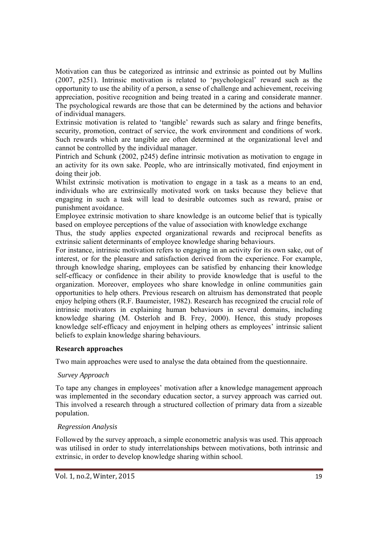Motivation can thus be categorized as intrinsic and extrinsic as pointed out by Mullins (2007, p251). Intrinsic motivation is related to 'psychological' reward such as the opportunity to use the ability of a person, a sense of challenge and achievement, receiving appreciation, positive recognition and being treated in a caring and considerate manner. The psychological rewards are those that can be determined by the actions and behavior of individual managers.

Extrinsic motivation is related to 'tangible' rewards such as salary and fringe benefits, security, promotion, contract of service, the work environment and conditions of work. Such rewards which are tangible are often determined at the organizational level and cannot be controlled by the individual manager.

Pintrich and Schunk (2002, p245) define intrinsic motivation as motivation to engage in an activity for its own sake. People, who are intrinsically motivated, find enjoyment in doing their job.

Whilst extrinsic motivation is motivation to engage in a task as a means to an end, individuals who are extrinsically motivated work on tasks because they believe that engaging in such a task will lead to desirable outcomes such as reward, praise or punishment avoidance.

Employee extrinsic motivation to share knowledge is an outcome belief that is typically based on employee perceptions of the value of association with knowledge exchange

Thus, the study applies expected organizational rewards and reciprocal benefits as extrinsic salient determinants of employee knowledge sharing behaviours.

For instance, intrinsic motivation refers to engaging in an activity for its own sake, out of interest, or for the pleasure and satisfaction derived from the experience. For example, through knowledge sharing, employees can be satisfied by enhancing their knowledge self-efficacy or confidence in their ability to provide knowledge that is useful to the organization. Moreover, employees who share knowledge in online communities gain opportunities to help others. Previous research on altruism has demonstrated that people enjoy helping others (R.F. Baumeister, 1982). Research has recognized the crucial role of intrinsic motivators in explaining human behaviours in several domains, including knowledge sharing (M. Osterloh and B. Frey, 2000). Hence, this study proposes knowledge self-efficacy and enjoyment in helping others as employees' intrinsic salient beliefs to explain knowledge sharing behaviours.

#### **Research approaches**

Two main approaches were used to analyse the data obtained from the questionnaire.

#### *Survey Approach*

To tape any changes in employees' motivation after a knowledge management approach was implemented in the secondary education sector, a survey approach was carried out. This involved a research through a structured collection of primary data from a sizeable population.

#### *Regression Analysis*

Followed by the survey approach, a simple econometric analysis was used. This approach was utilised in order to study interrelationships between motivations, both intrinsic and extrinsic, in order to develop knowledge sharing within school.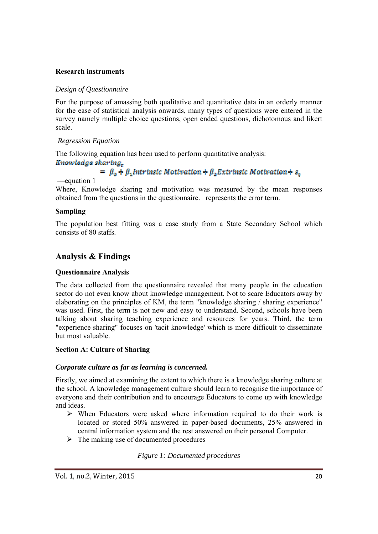#### **Research instruments**

#### *Design of Questionnaire*

For the purpose of amassing both qualitative and quantitative data in an orderly manner for the ease of statistical analysis onwards, many types of questions were entered in the survey namely multiple choice questions, open ended questions, dichotomous and likert scale.

#### *Regression Equation*

The following equation has been used to perform quantitative analysis:

# Knowledge sharing.

# $= \beta_0 + \beta_1$ Intrinsic Motivation +  $\beta_2$ Extrinsic Motivation +  $s_r$

—equation 1

Where, Knowledge sharing and motivation was measured by the mean responses obtained from the questions in the questionnaire. represents the error term.

#### **Sampling**

The population best fitting was a case study from a State Secondary School which consists of 80 staffs.

# **Analysis & Findings**

#### **Questionnaire Analysis**

The data collected from the questionnaire revealed that many people in the education sector do not even know about knowledge management. Not to scare Educators away by elaborating on the principles of KM, the term "knowledge sharing / sharing experience" was used. First, the term is not new and easy to understand. Second, schools have been talking about sharing teaching experience and resources for years. Third, the term "experience sharing" focuses on 'tacit knowledge' which is more difficult to disseminate but most valuable.

#### **Section A: Culture of Sharing**

#### *Corporate culture as far as learning is concerned.*

Firstly, we aimed at examining the extent to which there is a knowledge sharing culture at the school. A knowledge management culture should learn to recognise the importance of everyone and their contribution and to encourage Educators to come up with knowledge and ideas.

- $\triangleright$  When Educators were asked where information required to do their work is located or stored 50% answered in paper-based documents, 25% answered in central information system and the rest answered on their personal Computer.
- $\triangleright$  The making use of documented procedures

#### *Figure 1: Documented procedures*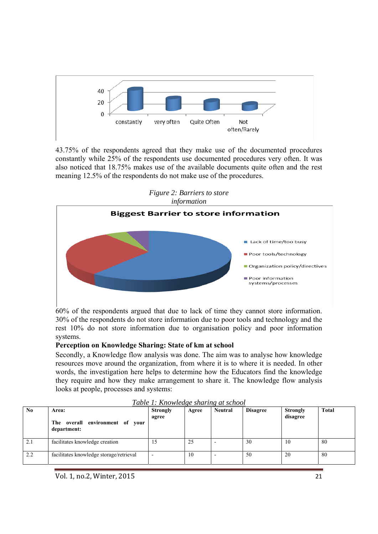

43.75% of the respondents agreed that they make use of the documented procedures constantly while 25% of the respondents use documented procedures very often. It was also noticed that 18.75% makes use of the available documents quite often and the rest meaning 12.5% of the respondents do not make use of the procedures.



*Figure 2: Barriers to store* 

60% of the respondents argued that due to lack of time they cannot store information. 30% of the respondents do not store information due to poor tools and technology and the rest 10% do not store information due to organisation policy and poor information systems.

#### **Perception on Knowledge Sharing: State of km at school**

Secondly, a Knowledge flow analysis was done. The aim was to analyse how knowledge resources move around the organization, from where it is to where it is needed. In other words, the investigation here helps to determine how the Educators find the knowledge they require and how they make arrangement to share it. The knowledge flow analysis looks at people, processes and systems:

| $\mathbf{N}\mathbf{0}$ | Area:<br>The overall environment of your<br>department: | <b>Strongly</b><br>agree | Agree | <b>Neutral</b>           | <b>Disagree</b> | Strongly<br>disagree | <b>Total</b> |
|------------------------|---------------------------------------------------------|--------------------------|-------|--------------------------|-----------------|----------------------|--------------|
| 2.1                    | facilitates knowledge creation                          |                          | 25    |                          | 30              | 10                   | 80           |
| 2.2                    | facilitates knowledge storage/retrieval                 |                          | 10    | $\overline{\phantom{0}}$ | 50              | 20                   | 80           |

| Table 1: Knowledge sharing at school |  |  |
|--------------------------------------|--|--|
|                                      |  |  |

Vol. 1, no.2, Winter, 2015 21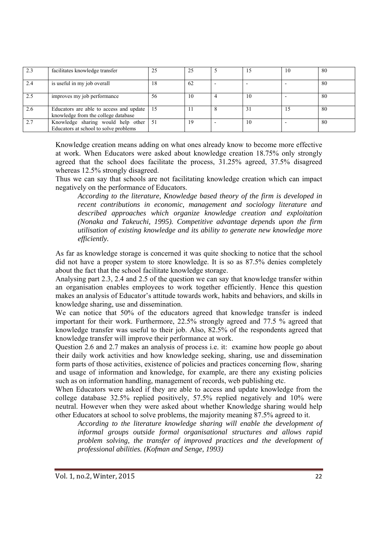| 2.3 | facilitates knowledge transfer                                                 | 25  | 25 |    | 10 | 80  |
|-----|--------------------------------------------------------------------------------|-----|----|----|----|-----|
| 2.4 | is useful in my job overall                                                    | 18  | 62 |    |    | -80 |
| 2.5 | improves my job performance                                                    | 56  | 10 | 10 |    | -80 |
| 2.6 | Educators are able to access and update<br>knowledge from the college database | -15 | 11 | 31 |    | -80 |
| 2.7 | Knowledge sharing would help other<br>Educators at school to solve problems    | 51  | 19 | 10 |    | 80  |

Knowledge creation means adding on what ones already know to become more effective at work. When Educators were asked about knowledge creation 18.75% only strongly agreed that the school does facilitate the process, 31.25% agreed, 37.5% disagreed whereas 12.5% strongly disagreed.

Thus we can say that schools are not facilitating knowledge creation which can impact negatively on the performance of Educators.

*According to the literature, Knowledge based theory of the firm is developed in recent contributions in economic, management and sociology literature and described approaches which organize knowledge creation and exploitation (Nonaka and Takeuchi, 1995). Competitive advantage depends upon the firm utilisation of existing knowledge and its ability to generate new knowledge more efficiently.* 

As far as knowledge storage is concerned it was quite shocking to notice that the school did not have a proper system to store knowledge. It is so as 87.5% denies completely about the fact that the school facilitate knowledge storage.

Analysing part 2.3, 2.4 and 2.5 of the question we can say that knowledge transfer within an organisation enables employees to work together efficiently. Hence this question makes an analysis of Educator's attitude towards work, habits and behaviors, and skills in knowledge sharing, use and dissemination.

We can notice that 50% of the educators agreed that knowledge transfer is indeed important for their work. Furthermore, 22.5% strongly agreed and 77.5 % agreed that knowledge transfer was useful to their job. Also, 82.5% of the respondents agreed that knowledge transfer will improve their performance at work.

Question 2.6 and 2.7 makes an analysis of process i.e. it: examine how people go about their daily work activities and how knowledge seeking, sharing, use and dissemination form parts of those activities, existence of policies and practices concerning flow, sharing and usage of information and knowledge, for example, are there any existing policies such as on information handling, management of records, web publishing etc.

When Educators were asked if they are able to access and update knowledge from the college database 32.5% replied positively, 57.5% replied negatively and 10% were neutral. However when they were asked about whether Knowledge sharing would help other Educators at school to solve problems, the majority meaning 87.5% agreed to it.

*According to the literature knowledge sharing will enable the development of informal groups outside formal organisational structures and allows rapid problem solving, the transfer of improved practices and the development of professional abilities. (Kofman and Senge, 1993)*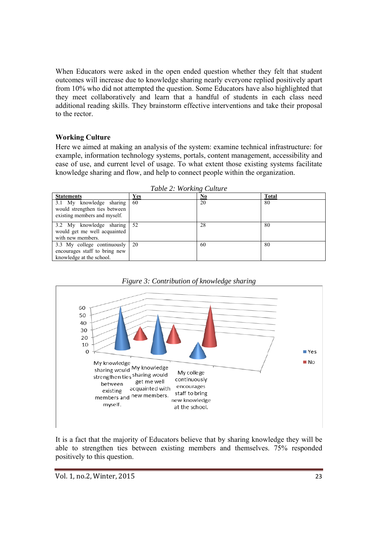When Educators were asked in the open ended question whether they felt that student outcomes will increase due to knowledge sharing nearly everyone replied positively apart from 10% who did not attempted the question. Some Educators have also highlighted that they meet collaboratively and learn that a handful of students in each class need additional reading skills. They brainstorm effective interventions and take their proposal to the rector.

#### **Working Culture**

Here we aimed at making an analysis of the system: examine technical infrastructure: for example, information technology systems, portals, content management, accessibility and ease of use, and current level of usage. To what extent those existing systems facilitate knowledge sharing and flow, and help to connect people within the organization.

| <b>Statements</b>                                                                            | Yes | No | <b>Total</b> |
|----------------------------------------------------------------------------------------------|-----|----|--------------|
| 3.1 My knowledge sharing 60<br>would strengthen ties between<br>existing members and myself. |     | 20 | 80           |
| 3.2 My knowledge sharing 52<br>would get me well acquainted<br>with new members.             |     | 28 | 80           |
| 3.3 My college continuously 20<br>encourages staff to bring new<br>knowledge at the school.  |     | 60 | 80           |

*Table 2: Working Culture* 



*Figure 3: Contribution of knowledge sharing* 

It is a fact that the majority of Educators believe that by sharing knowledge they will be able to strengthen ties between existing members and themselves. 75% responded positively to this question.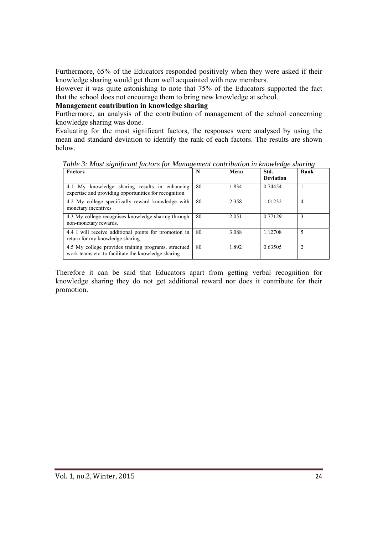Furthermore, 65% of the Educators responded positively when they were asked if their knowledge sharing would get them well acquainted with new members.

However it was quite astonishing to note that 75% of the Educators supported the fact that the school does not encourage them to bring new knowledge at school.

#### **Management contribution in knowledge sharing**

Furthermore, an analysis of the contribution of management of the school concerning knowledge sharing was done.

Evaluating for the most significant factors, the responses were analysed by using the mean and standard deviation to identify the rank of each factors. The results are shown below.

*Table 3: Most significant factors for Management contribution in knowledge sharing* 

| <b>Factors</b>                                                                                              | N  | Mean  | Std.<br><b>Deviation</b> | Rank |
|-------------------------------------------------------------------------------------------------------------|----|-------|--------------------------|------|
| 4.1 My knowledge sharing results in enhancing<br>expertise and providing opportunities for recognition      | 80 | 1.834 | 0.74454                  |      |
| 4.2 My college specifically reward knowledge with<br>monetary incentives                                    | 80 | 2.358 | 1.01232                  | 4    |
| 4.3 My college recognises knowledge sharing through<br>non-monetary rewards.                                | 80 | 2.051 | 0.77129                  | 3    |
| 4.4 I will receive additional points for promotion in<br>return for my knowledge sharing.                   | 80 | 3.088 | 1.12708                  |      |
| 4.5 My college provides training programs, structued<br>work teams etc. to facilitate the knowledge sharing | 80 | 1.892 | 0.63505                  | າ    |

Therefore it can be said that Educators apart from getting verbal recognition for knowledge sharing they do not get additional reward nor does it contribute for their promotion.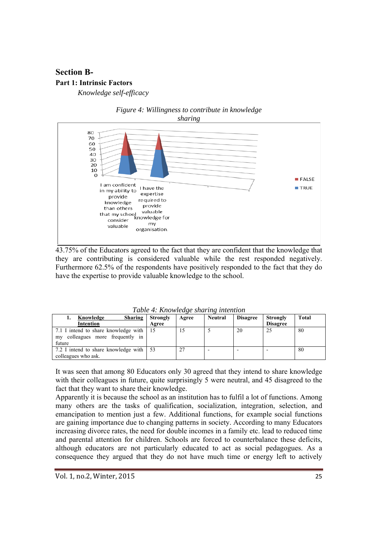# **Section B-Part 1: Intrinsic Factors**

*Knowledge self-efficacy* 



# *Figure 4: Willingness to contribute in knowledge*

43.75% of the Educators agreed to the fact that they are confident that the knowledge that they are contributing is considered valuable while the rest responded negatively. Furthermore 62.5% of the respondents have positively responded to the fact that they do have the expertise to provide valuable knowledge to the school.

| Knowledge<br><b>Sharing</b>                                              | <b>Strongly</b> | Agree | <b>Neutral</b> | <b>Disagree</b> | <b>Strongly</b> | <b>Total</b> |
|--------------------------------------------------------------------------|-----------------|-------|----------------|-----------------|-----------------|--------------|
| <b>Intention</b>                                                         | Agree           |       |                |                 | <b>Disagree</b> |              |
| 7.1 I intend to share knowledge with 15<br>colleagues more frequently in |                 |       |                | 20              | 25              | 80           |
| my<br>future                                                             |                 |       |                |                 |                 |              |
| 7.2 I intend to share knowledge with   53                                |                 | 27    |                |                 |                 | 80           |
| colleagues who ask.                                                      |                 |       |                |                 |                 |              |

*Table 4: Knowledge sharing intention* 

It was seen that among 80 Educators only 30 agreed that they intend to share knowledge with their colleagues in future, quite surprisingly 5 were neutral, and 45 disagreed to the fact that they want to share their knowledge.

Apparently it is because the school as an institution has to fulfil a lot of functions. Among many others are the tasks of qualification, socialization, integration, selection, and emancipation to mention just a few. Additional functions, for example social functions are gaining importance due to changing patterns in society. According to many Educators increasing divorce rates, the need for double incomes in a family etc. lead to reduced time and parental attention for children. Schools are forced to counterbalance these deficits, although educators are not particularly educated to act as social pedagogues. As a consequence they argued that they do not have much time or energy left to actively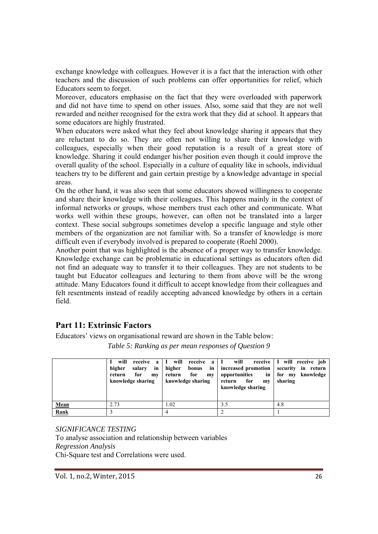exchange knowledge with colleagues. However it is a fact that the interaction with other teachers and the discussion of such problems can offer opportunities for relief, which Educators seem to forget.

Moreover, educators emphasise on the fact that they were overloaded with paperwork and did not have time to spend on other issues. Also, some said that they are not well rewarded and neither recognised for the extra work that they did at school. It appears that some educators are highly frustrated.

When educators were asked what they feel about knowledge sharing it appears that they are reluctant to do so. They are often not willing to share their knowledge with colleagues, especially when their good reputation is a result of a great store of knowledge. Sharing it could endanger his/her position even though it could improve the overall quality of the school. Especially in a culture of equality like in schools, individual teachers try to be different and gain certain prestige by a knowledge advantage in special areas.

On the other hand, it was also seen that some educators showed willingness to cooperate and share their knowledge with their colleagues. This happens mainly in the context of informal networks or groups, whose members trust each other and communicate. What works well within these groups, however, can often not be translated into a larger context. These social subgroups sometimes develop a specific language and style other members of the organization are not familiar with. So a transfer of knowledge is more difficult even if everybody involved is prepared to cooperate (Roehl 2000).

Another point that was highlighted is the absence of a proper way to transfer knowledge. Knowledge exchange can be problematic in educational settings as educators often did not find an adequate way to transfer it to their colleagues. They are not students to be taught but Educator colleagues and lecturing to them from above will be the wrong attitude. Many Educators found it difficult to accept knowledge from their colleagues and felt resentments instead of readily accepting advanced knowledge by others in a certain field.

# **Part 11: Extrinsic Factors**

Educators' views on organisational reward are shown in the Table below:

|      | will<br>receive<br>higher<br>salarv<br>for<br>return<br>m <sub>V</sub><br>knowledge sharing | a   I will<br>receive a   I will<br>for<br>return<br>m <sub>V</sub><br>knowledge sharing | in   higher bonus in   increased promotion   security in return<br>opportunities<br>return for<br>my<br>knowledge sharing | receive   I will receive job<br>in for my knowledge<br>sharing |
|------|---------------------------------------------------------------------------------------------|------------------------------------------------------------------------------------------|---------------------------------------------------------------------------------------------------------------------------|----------------------------------------------------------------|
| Mean | 2.73                                                                                        | 1.02                                                                                     | 3.5                                                                                                                       | 4.8                                                            |
| Rank |                                                                                             |                                                                                          | $\overline{c}$                                                                                                            |                                                                |

*Table 5: Ranking as per mean responses of Question 9* 

*SIGNIFICANCE TESTING*  To analyse association and relationship between variables *Regression Analysis*  Chi-Square test and Correlations were used.

Vol. 1, no.2, Winter, 2015 26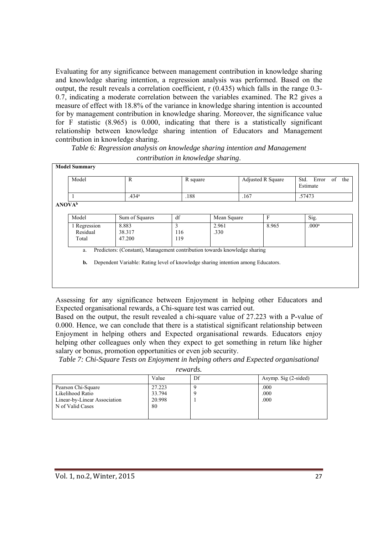Evaluating for any significance between management contribution in knowledge sharing and knowledge sharing intention, a regression analysis was performed. Based on the output, the result reveals a correlation coefficient, r (0.435) which falls in the range 0.3- 0.7, indicating a moderate correlation between the variables examined. The R2 gives a measure of effect with 18.8% of the variance in knowledge sharing intention is accounted for by management contribution in knowledge sharing. Moreover, the significance value for F statistic (8.965) is 0.000, indicating that there is a statistically significant relationship between knowledge sharing intention of Educators and Management contribution in knowledge sharing.

*Table 6: Regression analysis on knowledge sharing intention and Management contribution in knowledge sharing*.

| Model                     | $\mathbb{R}$                                                                     |     | R square |             |      | Adjusted R Square | Std.   | Error<br>of<br>Estimate | the |
|---------------------------|----------------------------------------------------------------------------------|-----|----------|-------------|------|-------------------|--------|-------------------------|-----|
|                           | .434 <sup>a</sup>                                                                |     | .188     |             | .167 |                   | .57473 |                         |     |
| <b>ANOVA</b> <sup>b</sup> |                                                                                  |     |          |             |      |                   |        |                         |     |
| Model                     | Sum of Squares                                                                   | df  |          | Mean Square |      | $\mathbf{F}$      |        | Sig.                    |     |
| 1 Regression              | 8.883                                                                            | 3   |          | 2.961       |      | 8.965             |        | .000 <sup>a</sup>       |     |
| Residual                  | 38.317                                                                           | 116 |          | .330        |      |                   |        |                         |     |
| Total                     | 47.200                                                                           | 119 |          |             |      |                   |        |                         |     |
| a.                        | Predictors: (Constant), Management contribution towards knowledge sharing        |     |          |             |      |                   |        |                         |     |
| b.                        | Dependent Variable: Rating level of knowledge sharing intention among Educators. |     |          |             |      |                   |        |                         |     |
|                           |                                                                                  |     |          |             |      |                   |        |                         |     |

Assessing for any significance between Enjoyment in helping other Educators and Expected organisational rewards, a Chi-square test was carried out.

Based on the output, the result revealed a chi-square value of 27.223 with a P-value of 0.000. Hence, we can conclude that there is a statistical significant relationship between Enjoyment in helping others and Expected organisational rewards. Educators enjoy helping other colleagues only when they expect to get something in return like higher salary or bonus, promotion opportunities or even job security.

*Table 7: Chi-Square Tests on Enjoyment in helping others and Expected organisational* 

*rewards.* 

|                              | Value  | Df | Asymp. Sig (2-sided) |
|------------------------------|--------|----|----------------------|
| Pearson Chi-Square           | 27.223 |    | .000                 |
| Likelihood Ratio             | 33.794 |    | .000                 |
| Linear-by-Linear Association | 20.998 |    | .000                 |
| N of Valid Cases             | 80     |    |                      |
|                              |        |    |                      |
|                              |        |    |                      |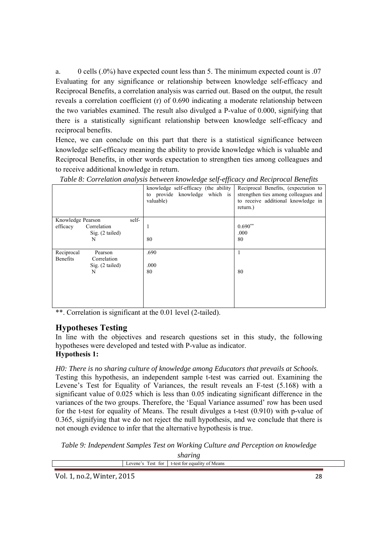a. 0 cells (.0%) have expected count less than 5. The minimum expected count is .07 Evaluating for any significance or relationship between knowledge self-efficacy and Reciprocal Benefits, a correlation analysis was carried out. Based on the output, the result reveals a correlation coefficient (r) of 0.690 indicating a moderate relationship between the two variables examined. The result also divulged a P-value of 0.000, signifying that there is a statistically significant relationship between knowledge self-efficacy and reciprocal benefits.

Hence, we can conclude on this part that there is a statistical significance between knowledge self-efficacy meaning the ability to provide knowledge which is valuable and Reciprocal Benefits, in other words expectation to strengthen ties among colleagues and to receive additional knowledge in return.

|                            | $\cup$<br>$\cdot$<br>JJ                                                            | $\overline{ }$<br>J                                                                                                            |
|----------------------------|------------------------------------------------------------------------------------|--------------------------------------------------------------------------------------------------------------------------------|
|                            | knowledge self-efficacy (the ability<br>to provide knowledge which is<br>valuable) | Reciprocal Benefits, (expectation to<br>strengthen ties among colleagues and<br>to receive additional knowledge in<br>return.) |
| self-<br>Knowledge Pearson |                                                                                    |                                                                                                                                |
| Correlation<br>efficacy    |                                                                                    | $0.690**$                                                                                                                      |
| Sig. (2 tailed)            |                                                                                    | .000                                                                                                                           |
| N                          | 80                                                                                 | 80                                                                                                                             |
|                            |                                                                                    |                                                                                                                                |
| Reciprocal<br>Pearson      | .690                                                                               |                                                                                                                                |
| Benefits<br>Correlation    |                                                                                    |                                                                                                                                |
| Sig. (2 tailed)            | .000                                                                               |                                                                                                                                |
| N                          | 80                                                                                 | 80                                                                                                                             |
|                            |                                                                                    |                                                                                                                                |
|                            |                                                                                    |                                                                                                                                |
|                            |                                                                                    |                                                                                                                                |
|                            |                                                                                    |                                                                                                                                |
|                            |                                                                                    |                                                                                                                                |
|                            |                                                                                    |                                                                                                                                |

*Table 8: Correlation analysis between knowledge self-efficacy and Reciprocal Benefits* 

\*\*. Correlation is significant at the 0.01 level (2-tailed).

# **Hypotheses Testing**

In line with the objectives and research questions set in this study, the following hypotheses were developed and tested with P-value as indicator.

#### **Hypothesis 1:**

*H0: There is no sharing culture of knowledge among Educators that prevails at Schools.*  Testing this hypothesis, an independent sample t-test was carried out. Examining the Levene's Test for Equality of Variances, the result reveals an F-test (5.168) with a significant value of 0.025 which is less than 0.05 indicating significant difference in the variances of the two groups. Therefore, the 'Equal Variance assumed' row has been used for the t-test for equality of Means. The result divulges a t-test (0.910) with p-value of 0.365, signifying that we do not reject the null hypothesis, and we conclude that there is not enough evidence to infer that the alternative hypothesis is true.

*Table 9: Independent Samples Test on Working Culture and Perception on knowledge* 

*sharing*

|                              | -<br>$\mathbf{a}$<br>$\rho$ c<br>fоı<br>ene | eans<br>$-1e^x$<br>$\cdot$ |
|------------------------------|---------------------------------------------|----------------------------|
| $ -$<br>$\sim$ $\sim$ $\sim$ | ----                                        |                            |

Vol. 1, no.2, Winter, 2015 **28** 28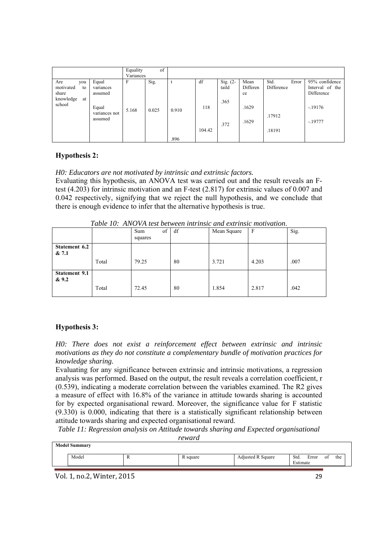| Sig.<br>df<br>Sig. $(2-$<br>Std.<br>Error<br>Equal<br>Mean<br>F<br>Are<br>you<br>t<br>Differen<br>Difference<br>taild<br>motivated<br>to<br>variances<br>Difference<br>share<br>assumed<br>ce<br>knowledge<br>at<br>.365<br>school<br>118<br>.1629<br>$-.19176$<br>Equal<br>5.168<br>0.025<br>0.910<br>variances not<br>.17912<br>assumed<br>.1629<br>$-.19777$<br>.372<br>104.42<br>.18191 |  | Equality<br>Variances | of |  |  |  |                                   |
|---------------------------------------------------------------------------------------------------------------------------------------------------------------------------------------------------------------------------------------------------------------------------------------------------------------------------------------------------------------------------------------------|--|-----------------------|----|--|--|--|-----------------------------------|
| .896                                                                                                                                                                                                                                                                                                                                                                                        |  |                       |    |  |  |  | 95% confidence<br>Interval of the |

#### **Hypothesis 2:**

#### *H0: Educators are not motivated by intrinsic and extrinsic factors.*

Evaluating this hypothesis, an ANOVA test was carried out and the result reveals an Ftest (4.203) for intrinsic motivation and an F-test (2.817) for extrinsic values of 0.007 and 0.042 respectively, signifying that we reject the null hypothesis, and we conclude that there is enough evidence to infer that the alternative hypothesis is true.

|                      | Tuble TV, Throris less between mirinisic and extrinsic molivation. |           |    |             |       |      |  |  |
|----------------------|--------------------------------------------------------------------|-----------|----|-------------|-------|------|--|--|
|                      |                                                                    | of<br>Sum | df | Mean Square | F     | Sig. |  |  |
|                      |                                                                    | squares   |    |             |       |      |  |  |
| Statement 6.2        |                                                                    |           |    |             |       |      |  |  |
| & 7.1                |                                                                    |           |    |             |       |      |  |  |
|                      | Total                                                              | 79.25     | 80 | 3.721       | 4.203 | .007 |  |  |
| <b>Statement 9.1</b> |                                                                    |           |    |             |       |      |  |  |
| & 9.2                |                                                                    |           |    |             |       |      |  |  |
|                      | Total                                                              | 72.45     | 80 | 1.854       | 2.817 | .042 |  |  |
|                      |                                                                    |           |    |             |       |      |  |  |

*Table 10: ANOVA test between intrinsic and extrinsic motivation* 

#### **Hypothesis 3:**

*H0: There does not exist a reinforcement effect between extrinsic and intrinsic motivations as they do not constitute a complementary bundle of motivation practices for knowledge sharing.* 

Evaluating for any significance between extrinsic and intrinsic motivations, a regression analysis was performed. Based on the output, the result reveals a correlation coefficient, r (0.539), indicating a moderate correlation between the variables examined. The R2 gives a measure of effect with 16.8% of the variance in attitude towards sharing is accounted for by expected organisational reward. Moreover, the significance value for F statistic (9.330) is 0.000, indicating that there is a statistically significant relationship between attitude towards sharing and expected organisational reward.

*Table 11: Regression analysis on Attitude towards sharing and Expected organisational reward* 

| Model<br>Adjusted R Square<br>Std.<br>Error<br>R square<br>0t<br>л<br>$\mathbf{m}$ | <b>Model Summary</b> |  |          |     |
|------------------------------------------------------------------------------------|----------------------|--|----------|-----|
|                                                                                    |                      |  | Estimate | the |

Vol. 1, no.2, Winter, 2015 29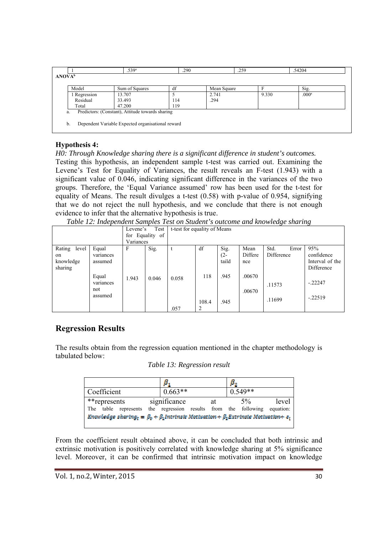|                           | .539 <sup>a</sup>                                 | .290 | .259        |       | .54204            |
|---------------------------|---------------------------------------------------|------|-------------|-------|-------------------|
| <b>ANOVA</b> <sup>b</sup> |                                                   |      |             |       |                   |
| Model                     | Sum of Squares                                    | df   | Mean Square |       | Sig.              |
| 1 Regression              | 13.707                                            |      | 2.741       | 9.330 | .000 <sup>a</sup> |
| Residual                  | 33.493                                            | 114  | .294        |       |                   |
| Total                     | 47.200                                            | 119  |             |       |                   |
| a.                        | Predictors: (Constant), Attitude towards sharing  |      |             |       |                   |
|                           |                                                   |      |             |       |                   |
| b.                        | Dependent Variable Expected organisational reward |      |             |       |                   |
|                           |                                                   |      |             |       |                   |

#### **Hypothesis 4:**

*H0: Through Knowledge sharing there is a significant difference in student's outcomes.* 

Testing this hypothesis, an independent sample t-test was carried out. Examining the Levene's Test for Equality of Variances, the result reveals an F-test (1.943) with a significant value of 0.046, indicating significant difference in the variances of the two groups. Therefore, the 'Equal Variance assumed' row has been used for the t-test for equality of Means. The result divulges a t-test (0.58) with p-value of 0.954, signifying that we do not reject the null hypothesis, and we conclude that there is not enough evidence to infer that the alternative hypothesis is true.

*Table 12: Independent Samples Test on Student's outcome and knowledge sharing* 

|                 |           | Levene's  | Test            | t-test for equality of Means |       |        |         |            |       |                 |
|-----------------|-----------|-----------|-----------------|------------------------------|-------|--------|---------|------------|-------|-----------------|
|                 |           |           | for Equality of |                              |       |        |         |            |       |                 |
|                 |           | Variances |                 |                              |       |        |         |            |       |                 |
| Rating<br>level | Equal     | F         | Sig.            |                              | df    | Sig.   | Mean    | Std.       | Error | 95%             |
| on              | variances |           |                 |                              |       | $(2 -$ | Differe | Difference |       | confidence      |
| knowledge       | assumed   |           |                 |                              |       | taild  | nce     |            |       | Interval of the |
| sharing         |           |           |                 |                              |       |        |         |            |       | Difference      |
|                 | Equal     | 1.943     | 0.046           | 0.058                        | 118   | .945   | .00670  |            |       |                 |
|                 | variances |           |                 |                              |       |        |         | .11573     |       | $-.22247$       |
|                 | not       |           |                 |                              |       |        | .00670  |            |       |                 |
|                 | assumed   |           |                 |                              |       |        |         | .11699     |       | $-.22519$       |
|                 |           |           |                 |                              | 108.4 | .945   |         |            |       |                 |
|                 |           |           |                 | .057                         | 2     |        |         |            |       |                 |

# **Regression Results**

The results obtain from the regression equation mentioned in the chapter methodology is tabulated below:

*Table 13: Regression result* 

|                                                                                                                              | μ.                                                  |    |           |       |  |  |  |  |  |
|------------------------------------------------------------------------------------------------------------------------------|-----------------------------------------------------|----|-----------|-------|--|--|--|--|--|
| Coefficient                                                                                                                  | $0.663**$                                           |    | $0.549**$ |       |  |  |  |  |  |
| **represents                                                                                                                 | significance                                        | at | $5\%$     | level |  |  |  |  |  |
| table represents<br>The                                                                                                      | the regression results from the following equation: |    |           |       |  |  |  |  |  |
| Knowledge shartng <sub>t</sub> = $\beta_0 + \beta_1$ Intrinsic Motivation + $\beta_2$ Extrinsic Motivation + $\varepsilon_t$ |                                                     |    |           |       |  |  |  |  |  |

From the coefficient result obtained above, it can be concluded that both intrinsic and extrinsic motivation is positively correlated with knowledge sharing at 5% significance level. Moreover, it can be confirmed that intrinsic motivation impact on knowledge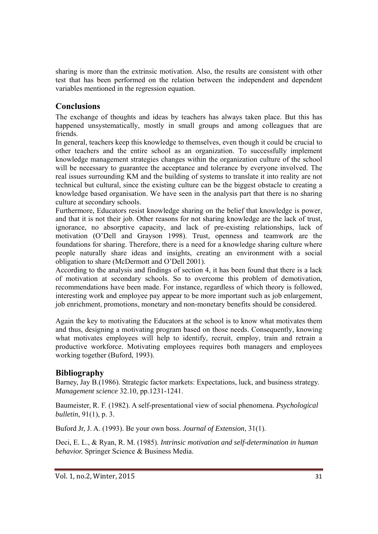sharing is more than the extrinsic motivation. Also, the results are consistent with other test that has been performed on the relation between the independent and dependent variables mentioned in the regression equation.

# **Conclusions**

The exchange of thoughts and ideas by teachers has always taken place. But this has happened unsystematically, mostly in small groups and among colleagues that are friends.

In general, teachers keep this knowledge to themselves, even though it could be crucial to other teachers and the entire school as an organization. To successfully implement knowledge management strategies changes within the organization culture of the school will be necessary to guarantee the acceptance and tolerance by everyone involved. The real issues surrounding KM and the building of systems to translate it into reality are not technical but cultural, since the existing culture can be the biggest obstacle to creating a knowledge based organisation. We have seen in the analysis part that there is no sharing culture at secondary schools.

Furthermore, Educators resist knowledge sharing on the belief that knowledge is power, and that it is not their job. Other reasons for not sharing knowledge are the lack of trust, ignorance, no absorptive capacity, and lack of pre-existing relationships, lack of motivation (O'Dell and Grayson 1998). Trust, openness and teamwork are the foundations for sharing. Therefore, there is a need for a knowledge sharing culture where people naturally share ideas and insights, creating an environment with a social obligation to share (McDermott and O'Dell 2001).

According to the analysis and findings of section 4, it has been found that there is a lack of motivation at secondary schools. So to overcome this problem of demotivation, recommendations have been made. For instance, regardless of which theory is followed, interesting work and employee pay appear to be more important such as job enlargement, job enrichment, promotions, monetary and non-monetary benefits should be considered.

Again the key to motivating the Educators at the school is to know what motivates them and thus, designing a motivating program based on those needs. Consequently, knowing what motivates employees will help to identify, recruit, employ, train and retrain a productive workforce. Motivating employees requires both managers and employees working together (Buford, 1993).

# **Bibliography**

Barney, Jay B.(1986). Strategic factor markets: Expectations, luck, and business strategy. *Management science* 32.10, pp.1231-1241.

Baumeister, R. F. (1982). A self-presentational view of social phenomena. *Psychological bulletin,* 91(1), p. 3.

Buford Jr, J. A. (1993). Be your own boss. *Journal of Extension*, 31(1).

Deci, E. L., & Ryan, R. M. (1985). *Intrinsic motivation and self-determination in human behavior.* Springer Science & Business Media.